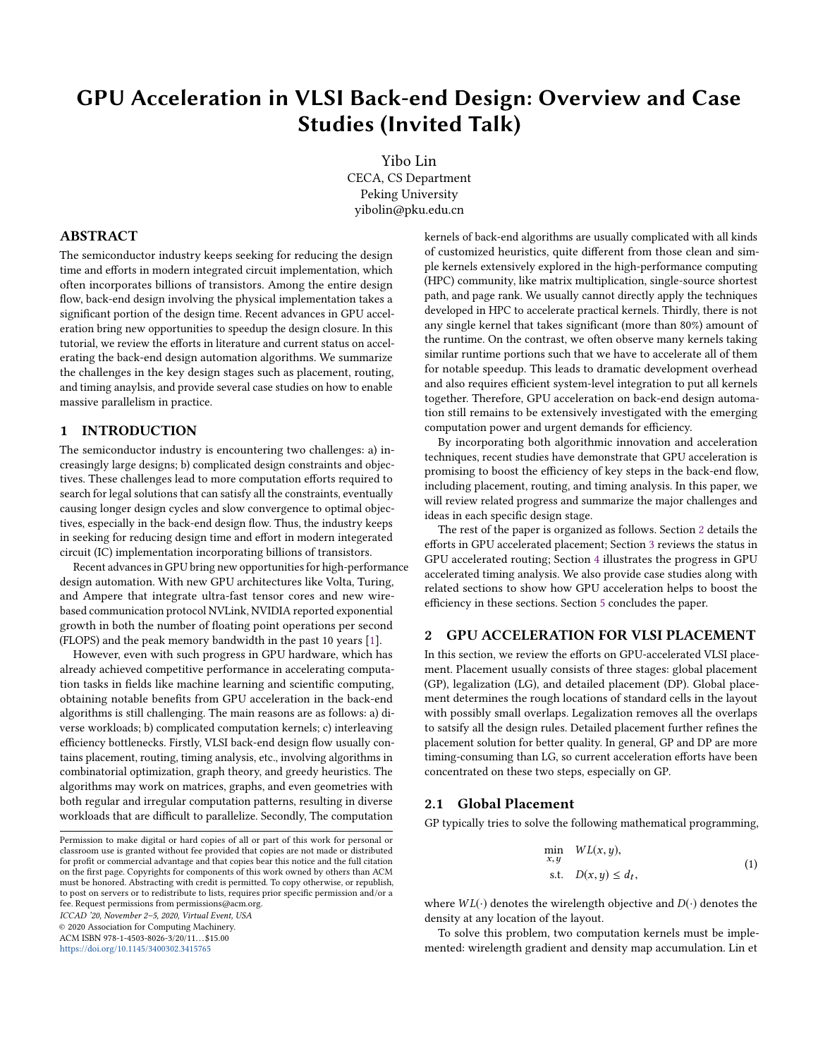# GPU Acceleration in VLSI Back-end Design: Overview and Case Studies (Invited Talk)

Yibo Lin CECA, CS Department Peking University yibolin@pku.edu.cn

# ABSTRACT

The semiconductor industry keeps seeking for reducing the design time and efforts in modern integrated circuit implementation, which often incorporates billions of transistors. Among the entire design flow, back-end design involving the physical implementation takes a significant portion of the design time. Recent advances in GPU acceleration bring new opportunities to speedup the design closure. In this tutorial, we review the efforts in literature and current status on accelerating the back-end design automation algorithms. We summarize the challenges in the key design stages such as placement, routing, and timing anaylsis, and provide several case studies on how to enable massive parallelism in practice.

# <span id="page-0-1"></span>1 INTRODUCTION

The semiconductor industry is encountering two challenges: a) increasingly large designs; b) complicated design constraints and objectives. These challenges lead to more computation efforts required to search for legal solutions that can satisfy all the constraints, eventually causing longer design cycles and slow convergence to optimal objectives, especially in the back-end design flow. Thus, the industry keeps in seeking for reducing design time and effort in modern integerated circuit (IC) implementation incorporating billions of transistors.

Recent advances in GPU bring new opportunities for high-performance design automation. With new GPU architectures like Volta, Turing, and Ampere that integrate ultra-fast tensor cores and new wirebased communication protocol NVLink, NVIDIA reported exponential growth in both the number of floating point operations per second (FLOPS) and the peak memory bandwidth in the past 10 years [\[1\]](#page-3-0).

However, even with such progress in GPU hardware, which has already achieved competitive performance in accelerating computation tasks in fields like machine learning and scientific computing, obtaining notable benefits from GPU acceleration in the back-end algorithms is still challenging. The main reasons are as follows: a) diverse workloads; b) complicated computation kernels; c) interleaving efficiency bottlenecks. Firstly, VLSI back-end design flow usually contains placement, routing, timing analysis, etc., involving algorithms in combinatorial optimization, graph theory, and greedy heuristics. The algorithms may work on matrices, graphs, and even geometries with both regular and irregular computation patterns, resulting in diverse workloads that are difficult to parallelize. Secondly, The computation

© 2020 Association for Computing Machinery. ACM ISBN 978-1-4503-8026-3/20/11...\$15.00

<https://doi.org/10.1145/3400302.3415765>

kernels of back-end algorithms are usually complicated with all kinds of customized heuristics, quite different from those clean and simple kernels extensively explored in the high-performance computing (HPC) community, like matrix multiplication, single-source shortest path, and page rank. We usually cannot directly apply the techniques developed in HPC to accelerate practical kernels. Thirdly, there is not any single kernel that takes significant (more than 80%) amount of the runtime. On the contrast, we often observe many kernels taking similar runtime portions such that we have to accelerate all of them for notable speedup. This leads to dramatic development overhead and also requires efficient system-level integration to put all kernels together. Therefore, GPU acceleration on back-end design automation still remains to be extensively investigated with the emerging computation power and urgent demands for efficiency.

By incorporating both algorithmic innovation and acceleration techniques, recent studies have demonstrate that GPU acceleration is promising to boost the efficiency of key steps in the back-end flow, including placement, routing, and timing analysis. In this paper, we will review related progress and summarize the major challenges and ideas in each specific design stage.

The rest of the paper is organized as follows. Section [2](#page-0-0) details the efforts in GPU accelerated placement; Section [3](#page-1-0) reviews the status in GPU accelerated routing; Section [4](#page-2-0) illustrates the progress in GPU accelerated timing analysis. We also provide case studies along with related sections to show how GPU acceleration helps to boost the efficiency in these sections. Section [5](#page-3-1) concludes the paper.

#### <span id="page-0-0"></span>2 GPU ACCELERATION FOR VLSI PLACEMENT

In this section, we review the efforts on GPU-accelerated VLSI placement. Placement usually consists of three stages: global placement (GP), legalization (LG), and detailed placement (DP). Global placement determines the rough locations of standard cells in the layout with possibly small overlaps. Legalization removes all the overlaps to satsify all the design rules. Detailed placement further refines the placement solution for better quality. In general, GP and DP are more timing-consuming than LG, so current acceleration efforts have been concentrated on these two steps, especially on GP.

## 2.1 Global Placement

GP typically tries to solve the following mathematical programming,

$$
\min_{x,y} W L(x,y),
$$
  
s.t.  $D(x,y) \le d_t,$  (1)

where  $WL(\cdot)$  denotes the wirelength objective and  $D(\cdot)$  denotes the density at any location of the layout.

To solve this problem, two computation kernels must be implemented: wirelength gradient and density map accumulation. Lin et

Permission to make digital or hard copies of all or part of this work for personal or classroom use is granted without fee provided that copies are not made or distributed for profit or commercial advantage and that copies bear this notice and the full citation on the first page. Copyrights for components of this work owned by others than ACM must be honored. Abstracting with credit is permitted. To copy otherwise, or republish, to post on servers or to redistribute to lists, requires prior specific permission and/or a fee. Request permissions from permissions@acm.org. ICCAD '20, November 2–5, 2020, Virtual Event, USA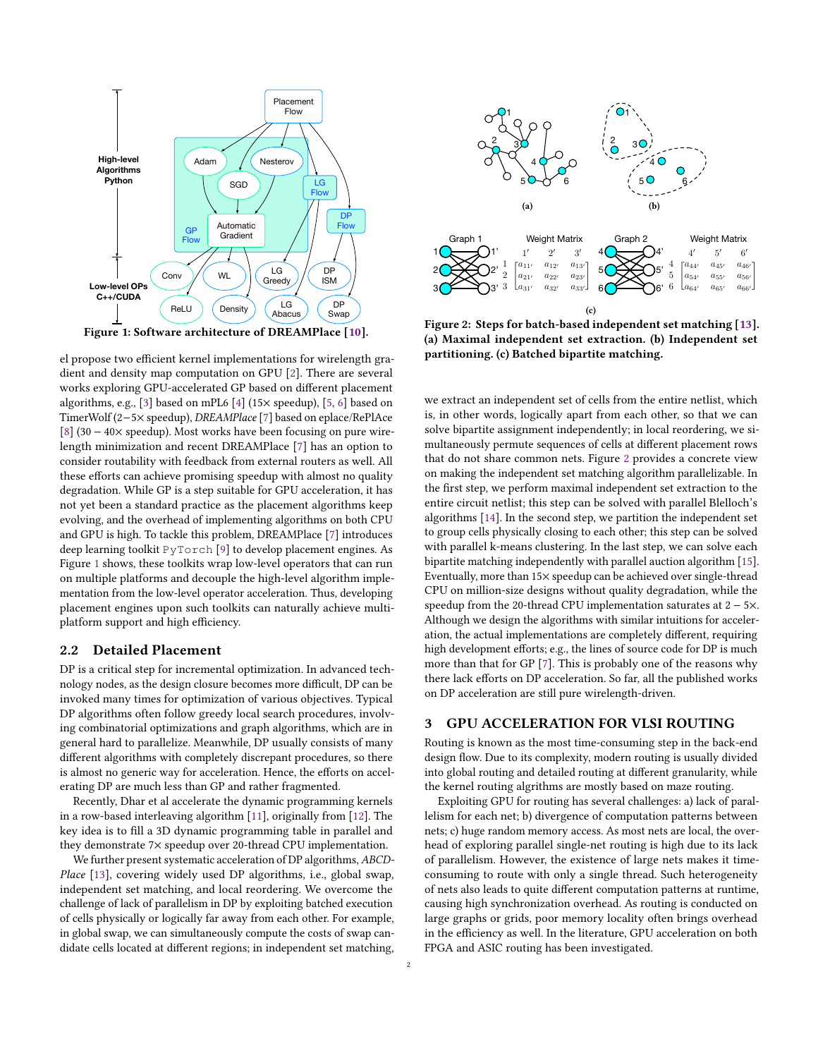<span id="page-1-1"></span>

el propose two efficient kernel implementations for wirelength gradient and density map computation on GPU [\[2\]](#page-3-3). There are several works exploring GPU-accelerated GP based on different placement algorithms, e.g., [\[3\]](#page-3-4) based on mPL6 [\[4\]](#page-3-5) (15× speedup), [\[5,](#page-3-6) [6\]](#page-3-7) based on TimerWolf (2−5× speedup), DREAMPlace [\[7\]](#page-3-8) based on eplace/RePlAce [\[8\]](#page-3-9) (30 − 40× speedup). Most works have been focusing on pure wirelength minimization and recent DREAMPlace [\[7\]](#page-3-8) has an option to consider routability with feedback from external routers as well. All these efforts can achieve promising speedup with almost no quality degradation. While GP is a step suitable for GPU acceleration, it has not yet been a standard practice as the placement algorithms keep evolving, and the overhead of implementing algorithms on both CPU and GPU is high. To tackle this problem, DREAMPlace [\[7\]](#page-3-8) introduces deep learning toolkit PyTorch [\[9\]](#page-3-10) to develop placement engines. As Figure [1](#page-1-1) shows, these toolkits wrap low-level operators that can run on multiple platforms and decouple the high-level algorithm implementation from the low-level operator acceleration. Thus, developing placement engines upon such toolkits can naturally achieve multiplatform support and high efficiency.

#### 2.2 Detailed Placement

DP is a critical step for incremental optimization. In advanced technology nodes, as the design closure becomes more difficult, DP can be invoked many times for optimization of various objectives. Typical DP algorithms often follow greedy local search procedures, involving combinatorial optimizations and graph algorithms, which are in general hard to parallelize. Meanwhile, DP usually consists of many different algorithms with completely discrepant procedures, so there is almost no generic way for acceleration. Hence, the efforts on accelerating DP are much less than GP and rather fragmented.

Recently, Dhar et al accelerate the dynamic programming kernels in a row-based interleaving algorithm [\[11\]](#page-3-11), originally from [\[12\]](#page-3-12). The key idea is to fill a 3D dynamic programming table in parallel and they demonstrate 7× speedup over 20-thread CPU implementation.

We further present systematic acceleration of DP algorithms, ABCD-Place [\[13\]](#page-3-13), covering widely used DP algorithms, i.e., global swap, independent set matching, and local reordering. We overcome the challenge of lack of parallelism in DP by exploiting batched execution of cells physically or logically far away from each other. For example, in global swap, we can simultaneously compute the costs of swap candidate cells located at different regions; in independent set matching,

<span id="page-1-2"></span>

Figure 2: Steps for batch-based independent set matching [\[13\]](#page-3-13). (a) Maximal independent set extraction. (b) Independent set partitioning. (c) Batched bipartite matching.

we extract an independent set of cells from the entire netlist, which is, in other words, logically apart from each other, so that we can solve bipartite assignment independently; in local reordering, we simultaneously permute sequences of cells at different placement rows that do not share common nets. Figure [2](#page-1-2) provides a concrete view on making the independent set matching algorithm parallelizable. In the first step, we perform maximal independent set extraction to the entire circuit netlist; this step can be solved with parallel Blelloch's algorithms [\[14\]](#page-3-14). In the second step, we partition the independent set to group cells physically closing to each other; this step can be solved with parallel k-means clustering. In the last step, we can solve each bipartite matching independently with parallel auction algorithm [\[15\]](#page-3-15). Eventually, more than 15× speedup can be achieved over single-thread CPU on million-size designs without quality degradation, while the speedup from the 20-thread CPU implementation saturates at 2 − 5×. Although we design the algorithms with similar intuitions for acceleration, the actual implementations are completely different, requiring high development efforts; e.g., the lines of source code for DP is much more than that for GP [\[7\]](#page-3-8). This is probably one of the reasons why there lack efforts on DP acceleration. So far, all the published works on DP acceleration are still pure wirelength-driven.

#### <span id="page-1-0"></span>3 GPU ACCELERATION FOR VLSI ROUTING

Routing is known as the most time-consuming step in the back-end design flow. Due to its complexity, modern routing is usually divided into global routing and detailed routing at different granularity, while the kernel routing algrithms are mostly based on maze routing.

Exploiting GPU for routing has several challenges: a) lack of parallelism for each net; b) divergence of computation patterns between nets; c) huge random memory access. As most nets are local, the overhead of exploring parallel single-net routing is high due to its lack of parallelism. However, the existence of large nets makes it timeconsuming to route with only a single thread. Such heterogeneity of nets also leads to quite different computation patterns at runtime, causing high synchronization overhead. As routing is conducted on large graphs or grids, poor memory locality often brings overhead in the efficiency as well. In the literature, GPU acceleration on both FPGA and ASIC routing has been investigated.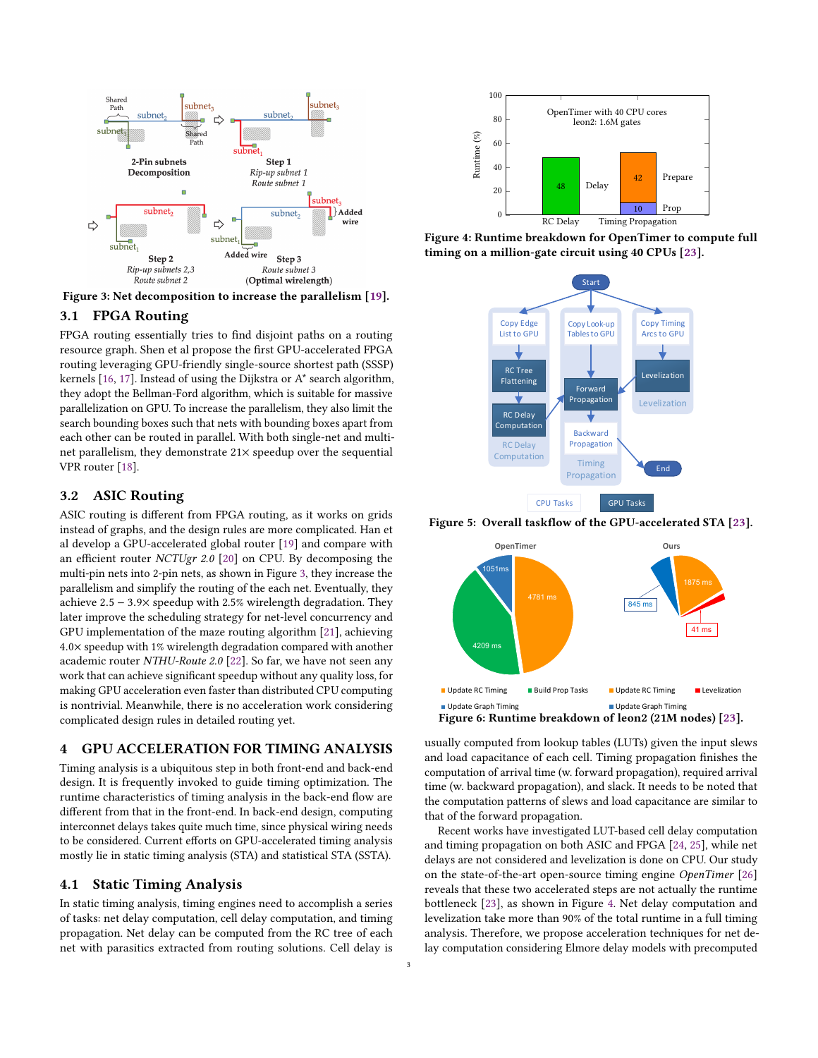<span id="page-2-1"></span>

Figure 3: Net decomposition to increase the parallelism [\[19\]](#page-3-16).

# 3.1 FPGA Routing

FPGA routing essentially tries to find disjoint paths on a routing resource graph. Shen et al propose the first GPU-accelerated FPGA routing leveraging GPU-friendly single-source shortest path (SSSP) kernels [\[16,](#page-3-17) [17\]](#page-3-18). Instead of using the Dijkstra or A\* search algorithm, they adopt the Bellman-Ford algorithm, which is suitable for massive parallelization on GPU. To increase the parallelism, they also limit the search bounding boxes such that nets with bounding boxes apart from each other can be routed in parallel. With both single-net and multinet parallelism, they demonstrate 21× speedup over the sequential VPR router [\[18\]](#page-3-19).

# 3.2 ASIC Routing

ASIC routing is different from FPGA routing, as it works on grids instead of graphs, and the design rules are more complicated. Han et al develop a GPU-accelerated global router [\[19\]](#page-3-16) and compare with an efficient router NCTUgr 2.0 [\[20\]](#page-3-20) on CPU. By decomposing the multi-pin nets into 2-pin nets, as shown in Figure [3,](#page-2-1) they increase the parallelism and simplify the routing of the each net. Eventually, they achieve <sup>2</sup>.<sup>5</sup> <sup>−</sup> <sup>3</sup>.9<sup>×</sup> speedup with 2.5% wirelength degradation. They later improve the scheduling strategy for net-level concurrency and GPU implementation of the maze routing algorithm [\[21\]](#page-3-21), achieving <sup>4</sup>.0<sup>×</sup> speedup with 1% wirelength degradation compared with another academic router NTHU-Route 2.0 [\[22\]](#page-3-22). So far, we have not seen any work that can achieve significant speedup without any quality loss, for making GPU acceleration even faster than distributed CPU computing is nontrivial. Meanwhile, there is no acceleration work considering complicated design rules in detailed routing yet.

# <span id="page-2-0"></span>4 GPU ACCELERATION FOR TIMING ANALYSIS

Timing analysis is a ubiquitous step in both front-end and back-end design. It is frequently invoked to guide timing optimization. The runtime characteristics of timing analysis in the back-end flow are different from that in the front-end. In back-end design, computing interconnet delays takes quite much time, since physical wiring needs to be considered. Current efforts on GPU-accelerated timing analysis mostly lie in static timing analysis (STA) and statistical STA (SSTA).

# 4.1 Static Timing Analysis

In static timing analysis, timing engines need to accomplish a series of tasks: net delay computation, cell delay computation, and timing propagation. Net delay can be computed from the RC tree of each net with parasitics extracted from routing solutions. Cell delay is

<span id="page-2-2"></span>

<span id="page-2-3"></span>Figure 4: Runtime breakdown for OpenTimer to compute full timing on a million-gate circuit using 40 CPUs [\[23\]](#page-3-23).



Figure 5: Overall taskflow of the GPU-accelerated STA [\[23\]](#page-3-23).

<span id="page-2-4"></span>

usually computed from lookup tables (LUTs) given the input slews and load capacitance of each cell. Timing propagation finishes the computation of arrival time (w. forward propagation), required arrival time (w. backward propagation), and slack. It needs to be noted that the computation patterns of slews and load capacitance are similar to that of the forward propagation.

Recent works have investigated LUT-based cell delay computation and timing propagation on both ASIC and FPGA [\[24,](#page-3-24) [25\]](#page-3-25), while net delays are not considered and levelization is done on CPU. Our study on the state-of-the-art open-source timing engine OpenTimer [\[26\]](#page-3-26) reveals that these two accelerated steps are not actually the runtime bottleneck [\[23\]](#page-3-23), as shown in Figure [4.](#page-2-2) Net delay computation and levelization take more than 90% of the total runtime in a full timing analysis. Therefore, we propose acceleration techniques for net delay computation considering Elmore delay models with precomputed